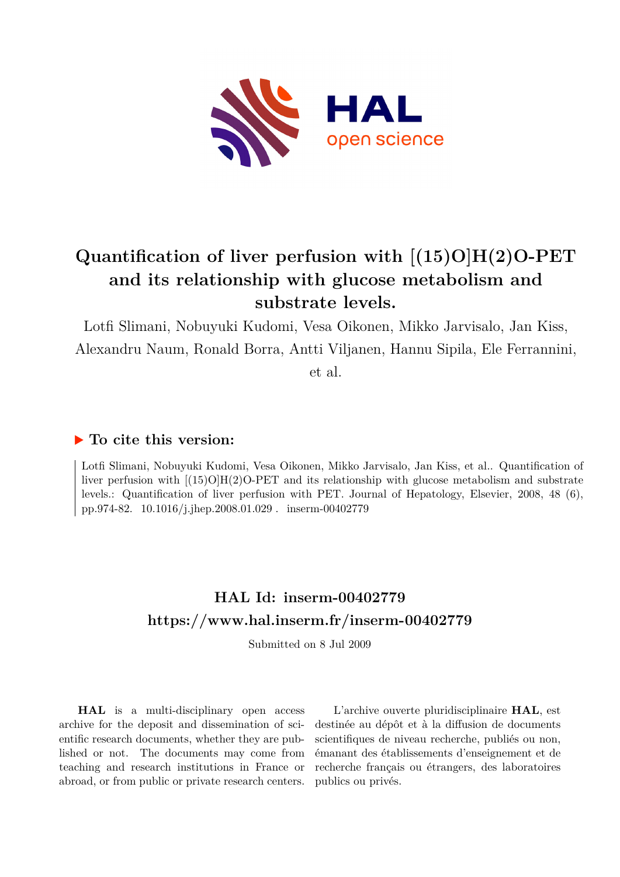

## **Quantification of liver perfusion with [(15)O]H(2)O-PET and its relationship with glucose metabolism and substrate levels.**

Lotfi Slimani, Nobuyuki Kudomi, Vesa Oikonen, Mikko Jarvisalo, Jan Kiss, Alexandru Naum, Ronald Borra, Antti Viljanen, Hannu Sipila, Ele Ferrannini,

et al.

### **To cite this version:**

Lotfi Slimani, Nobuyuki Kudomi, Vesa Oikonen, Mikko Jarvisalo, Jan Kiss, et al.. Quantification of liver perfusion with [(15)O]H(2)O-PET and its relationship with glucose metabolism and substrate levels.: Quantification of liver perfusion with PET. Journal of Hepatology, Elsevier, 2008, 48 (6), pp.974-82. 10.1016/j.jhep.2008.01.029 . inserm-00402779

## **HAL Id: inserm-00402779 <https://www.hal.inserm.fr/inserm-00402779>**

Submitted on 8 Jul 2009

**HAL** is a multi-disciplinary open access archive for the deposit and dissemination of scientific research documents, whether they are published or not. The documents may come from teaching and research institutions in France or abroad, or from public or private research centers.

L'archive ouverte pluridisciplinaire **HAL**, est destinée au dépôt et à la diffusion de documents scientifiques de niveau recherche, publiés ou non, émanant des établissements d'enseignement et de recherche français ou étrangers, des laboratoires publics ou privés.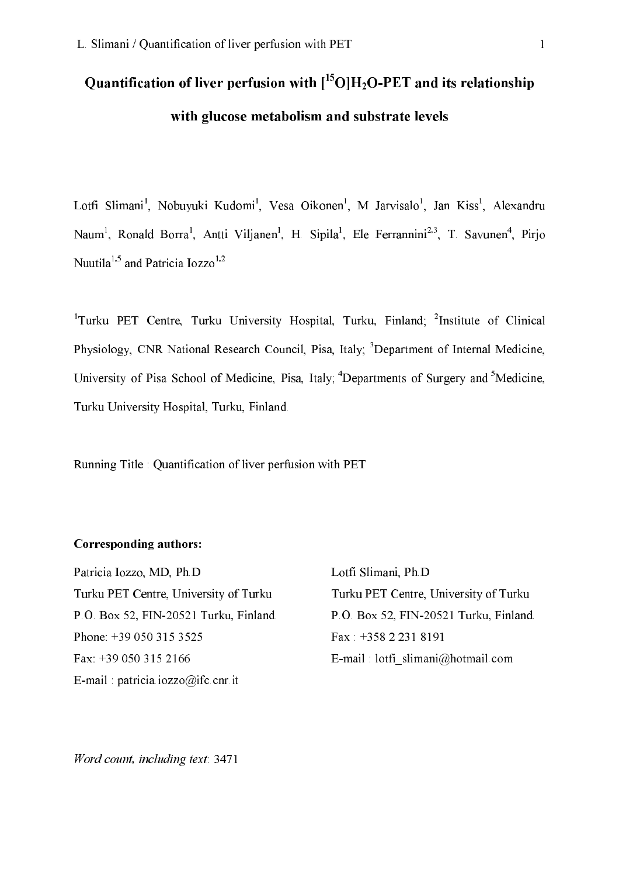# Quantification of liver perfusion with  $\rm I^{15}O|H_2O$ -PET and its relationship with glucose metabolism and substrate levels

Lotfi Slimani<sup>1</sup>, Nobuvuki Kudomi<sup>1</sup>, Vesa Oikonen<sup>1</sup>, M Jarvisalo<sup>1</sup>, Jan Kiss<sup>1</sup>, Alexandru Naum<sup>1</sup>, Ronald Borra<sup>1</sup>, Antti Viljanen<sup>1</sup>, H. Sipila<sup>1</sup>, Ele Ferrannini<sup>2,3</sup>, T. Savunen<sup>4</sup>, Pirjo Nuutila<sup>1,5</sup> and Patricia Iozzo<sup>1,2</sup>

<sup>1</sup>Turku PET Centre. Turku University Hospital. Turku. Finland: <sup>2</sup>Institute of Clinical Physiology, CNR National Research Council, Pisa, Italy; <sup>3</sup>Department of Internal Medicine, University of Pisa School of Medicine, Pisa, Italy; <sup>4</sup>Departments of Surgery and <sup>5</sup>Medicine, Turku University Hospital, Turku, Finland.

Running Title: Quantification of liver perfusion with PET

#### Corresponding authors:

Patricia Iozzo, MD, Ph.D Turku PET Centre, University of Turku P.O. Box 52, FIN-20521 Turku, Finland. Phone: +39 050 315 3525 Fax: +39 050 315 2166 E-mail: patricia.iozzo@ifc.cnr.it

Lotfi Slimani, Ph.D Turku PET Centre, University of Turku P.O. Box 52, FIN-20521 Turku, Finland.  $\text{Fax}$ : +358 2 231 8191 E-mail : lotfi slimani@hotmail.com

Word count, including text: 3471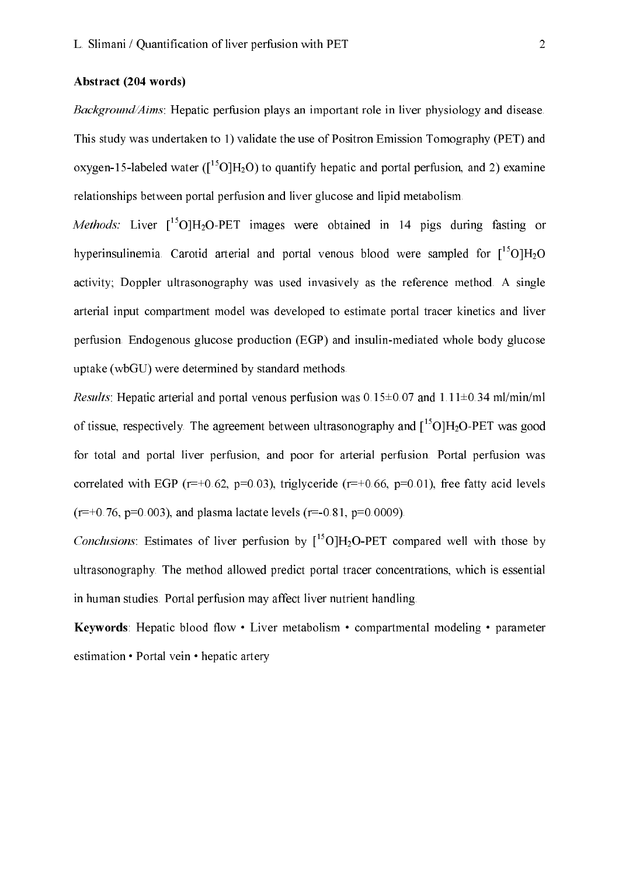#### Abstract (204 words)

Background/Aims: Hepatic perfusion plays an important role in liver physiology and disease. This study was undertaken to 1) validate the use of Positron Emission Tomography (PET) and oxygen-15-labeled water ( $\rm [^{15}O]H_2O$ ) to quantify hepatic and portal perfusion, and 2) examine relationships between portal perfusion and liver glucose and lipid metabolism.

Methods: Liver  $\left[{}^{15}O\right]H_2O$ -PET images were obtained in 14 pigs during fasting or hyperinsulinemia. Carotid arterial and portal venous blood were sampled for  $\left[{}^{15}O\right]H_2O$ activity; Doppler ultrasonography was used invasively as the reference method. A single arterial input compartment model was developed to estimate portal tracer kinetics and liver perfusion. Endogenous glucose production (EGP) and insulin-mediated whole body glucose uptake (wbGU) were determined by standard methods.

*Results*: Hepatic arterial and portal venous perfusion was  $0.15\pm0.07$  and  $1.11\pm0.34$  ml/min/ml of tissue, respectively. The agreement between ultrasonography and  $\left[{}^{15}O\right]H_2O$ -PET was good for total and portal liver perfusion, and poor for arterial perfusion. Portal perfusion was correlated with EGP ( $r=+0.62$ ,  $p=0.03$ ), triglyceride ( $r=+0.66$ ,  $p=0.01$ ), free fatty acid levels  $(r=+0.76, p=0.003)$ , and plasma lactate levels  $(r=-0.81, p=0.0009)$ .

Conclusions: Estimates of liver perfusion by  $[{}^{15}O]H_2O-PET$  compared well with those by ultrasonography. The method allowed predict portal tracer concentrations, which is essential in human studies. Portal perfusion may affect liver nutrient handling.

Keywords: Hepatic blood flow • Liver metabolism • compartmental modeling • parameter estimation • Portal vein • hepatic artery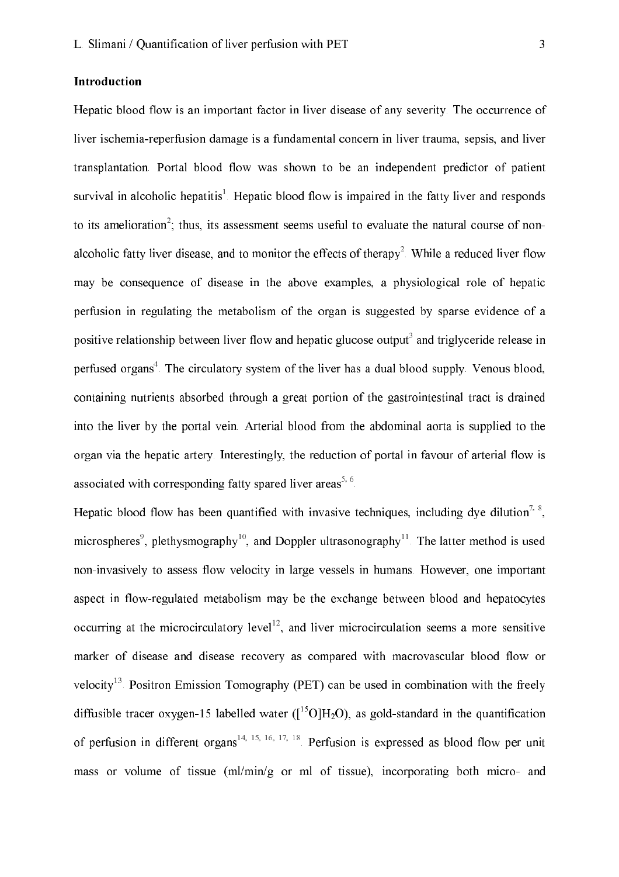#### Introduction

Hepatic blood flow is an important factor in liver disease of any severity. The occurrence of liver ischemia-reperfusion damage is a fundamental concern in liver trauma, sepsis, and liver transplantation. Portal blood flow was shown to be an independent predictor of patient survival in alcoholic hepatitis<sup>1</sup>. Hepatic blood flow is impaired in the fatty liver and responds to its amelioration<sup>2</sup>: thus, its assessment seems useful to evaluate the natural course of nonalcoholic fatty liver disease, and to monitor the effects of therapy<sup>2</sup>. While a reduced liver flow may be consequence of disease in the above examples, a physiological role of hepatic perfusion in regulating the metabolism of the organ is suggested by sparse evidence of a positive relationship between liver flow and hepatic glucose output<sup>3</sup> and triglyceride release in perfused organs<sup>4</sup>. The circulatory system of the liver has a dual blood supply. Venous blood, containing nutrients absorbed through a great portion of the gastrointestinal tract is drained into the liver by the portal vein. Arterial blood from the abdominal aorta is supplied to the organ via the hepatic artery. Interestingly, the reduction of portal in favour of arterial flow is associated with corresponding fatty spared liver areas<sup>5, 6</sup>.

Hepatic blood flow has been quantified with invasive techniques, including dye dilution<sup>7, 8</sup>, microspheres<sup>9</sup>, plethysmography<sup>10</sup>, and Doppler ultrasonography<sup>11</sup>. The latter method is used non-invasively to assess flow velocity in large vessels in humans. However, one important aspect in flow-regulated metabolism may be the exchange between blood and hepatocytes occurring at the microcirculatory level<sup>12</sup>, and liver microcirculation seems a more sensitive marker of disease and disease recovery as compared with macrovascular blood flow or velocity<sup>13</sup>. Positron Emission Tomography (PET) can be used in combination with the freely diffusible tracer oxygen-15 labelled water ( $\rm I^{15}O/H_2O$ ), as gold-standard in the quantification of perfusion in different organs<sup>14, 15, 16, 17, 18</sup>. Perfusion is expressed as blood flow per unit mass or volume of tissue  $(ml/min/g)$  or ml of tissue), incorporating both micro- and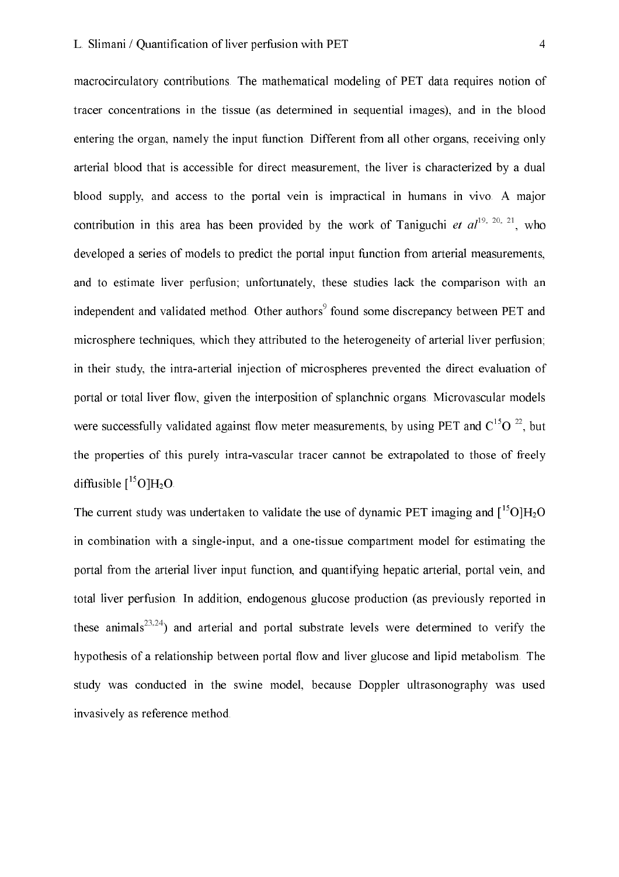macrocirculatory contributions. The mathematical modeling of PET data requires notion of tracer concentrations in the tissue (as determined in sequential images), and in the blood entering the organ, namely the input function. Different from all other organs, receiving only arterial blood that is accessible for direct measurement, the liver is characterized by a dual blood supply, and access to the portal vein is impractical in humans in vivo. A major contribution in this area has been provided by the work of Taniguchi et  $al^{19, 20, 21}$ , who developed a series of models to predict the portal input function from arterial measurements, and to estimate liver perfusion; unfortunately, these studies lack the comparison with an independent and validated method. Other authors<sup>9</sup> found some discrepancy between PET and microsphere techniques, which they attributed to the heterogeneity of arterial liver perfusion; in their study, the intra-arterial injection of microspheres prevented the direct evaluation of portal or total liver flow, given the interposition of splanchnic organs. Microvascular models were successfully validated against flow meter measurements, by using PET and  $C^{15}O^{22}$ , but the properties of this purely intra-vascular tracer cannot be extrapolated to those of freely diffusible  $[{}^{15}O]H_2O$ .

The current study was undertaken to validate the use of dynamic PET imaging and  $\int_0^{15} O(H_2O)$ in combination with a single-input, and a one-tissue compartment model for estimating the portal from the arterial liver input function, and quantifying hepatic arterial, portal vein, and total liver perfusion. In addition, endogenous glucose production (as previously reported in these animals<sup>23,24</sup>) and arterial and portal substrate levels were determined to verify the hypothesis of a relationship between portal flow and liver glucose and lipid metabolism. The study was conducted in the swine model, because Doppler ultrasonography was used invasively as reference method.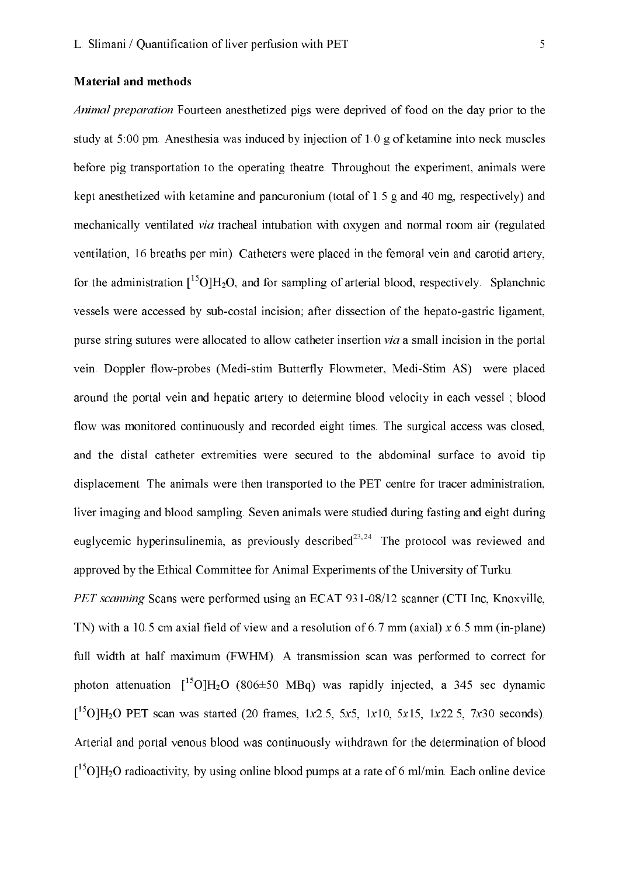#### **Material and methods**

Animal preparation Fourteen anesthetized pigs were deprived of food on the day prior to the study at 5:00 pm. Anesthesia was induced by injection of 1.0 g of ketamine into neck muscles before pig transportation to the operating theatre. Throughout the experiment, animals were kept anesthetized with ketamine and pancuronium (total of 1.5 g and 40 mg, respectively) and mechanically ventilated *via* tracheal intubation with oxygen and normal room air (regulated ventilation, 16 breaths per min). Catheters were placed in the femoral vein and carotid artery, for the administration  $\int_0^{15} O \, \mathrm{H}_2O$ , and for sampling of arterial blood, respectively. Splanchnic vessels were accessed by sub-costal incision; after dissection of the hepato-gastric ligament, purse string sutures were allocated to allow catheter insertion via a small incision in the portal vein. Doppler flow-probes (Medi-stim Butterfly Flowmeter, Medi-Stim AS) were placed around the portal vein and hepatic artery to determine blood velocity in each vessel; blood flow was monitored continuously and recorded eight times. The surgical access was closed, and the distal catheter extremities were secured to the abdominal surface to avoid tip displacement. The animals were then transported to the PET centre for tracer administration, liver imaging and blood sampling. Seven animals were studied during fasting and eight during euglycemic hyperinsulinemia, as previously described<sup>23,24</sup>. The protocol was reviewed and approved by the Ethical Committee for Animal Experiments of the University of Turku.

PET scanning Scans were performed using an ECAT 931-08/12 scanner (CTI Inc. Knoxville, TN) with a 10.5 cm axial field of view and a resolution of 6.7 mm (axial)  $x$  6.5 mm (in-plane) full width at half maximum (FWHM). A transmission scan was performed to correct for photon attenuation.  $\int_{0}^{15}$ O]H<sub>2</sub>O (806±50 MBq) was rapidly injected, a 345 sec dynamic  $[{}^{15}O]H_2O$  PET scan was started (20 frames, 1x2.5, 5x5, 1x10, 5x15, 1x22.5, 7x30 seconds). Arterial and portal venous blood was continuously withdrawn for the determination of blood  $15$ O]H<sub>2</sub>O radioactivity, by using online blood pumps at a rate of 6 ml/min. Each online device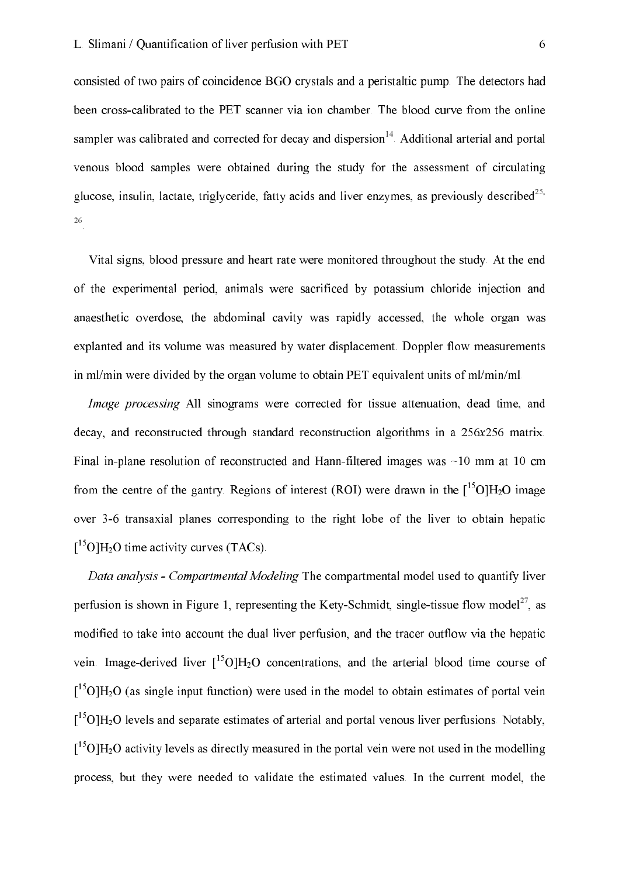consisted of two pairs of coincidence BGO crystals and a peristaltic pump. The detectors had been cross-calibrated to the PET scanner via ion chamber. The blood curve from the online sampler was calibrated and corrected for decay and dispersion<sup>14</sup>. Additional arterial and portal venous blood samples were obtained during the study for the assessment of circulating glucose, insulin, lactate, triglyceride, fatty acids and liver enzymes, as previously described<sup>25,</sup> 26

Vital signs, blood pressure and heart rate were monitored throughout the study. At the end of the experimental period, animals were sacrificed by potassium chloride injection and anaesthetic overdose, the abdominal cavity was rapidly accessed, the whole organ was explanted and its volume was measured by water displacement. Doppler flow measurements in ml/min were divided by the organ volume to obtain PET equivalent units of ml/min/ml.

Image processing All sinograms were corrected for tissue attenuation, dead time, and decay, and reconstructed through standard reconstruction algorithms in a 256x256 matrix. Final in-plane resolution of reconstructed and Hann-filtered images was  $\sim$ 10 mm at 10 cm from the centre of the gantry. Regions of interest (ROI) were drawn in the  $[{}^{15}O]H_2O$  image over 3-6 transaxial planes corresponding to the right lobe of the liver to obtain hepatic  $I^{15}$ OlH<sub>2</sub>O time activity curves (TACs).

Data analysis - Compartmental Modeling The compartmental model used to quantify liver perfusion is shown in Figure 1, representing the Kety-Schmidt, single-tissue flow model<sup>27</sup>, as modified to take into account the dual liver perfusion, and the tracer outflow via the hepatic vein. Image-derived liver  $\int_0^{15} O[H_2O]$  concentrations, and the arterial blood time course of  $15$ O]H<sub>2</sub>O (as single input function) were used in the model to obtain estimates of portal vein  $15$ O]H<sub>2</sub>O levels and separate estimates of arterial and portal venous liver perfusions. Notably,  $15^{\circ}$ OlH<sub>2</sub>O activity levels as directly measured in the portal vein were not used in the modelling process, but they were needed to validate the estimated values. In the current model, the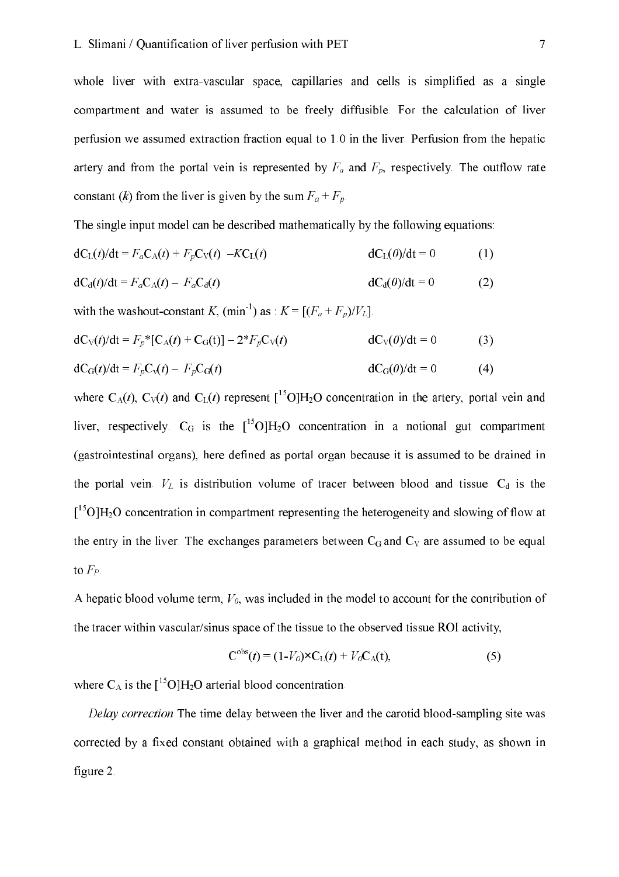whole liver with extra-vascular space, capillaries and cells is simplified as a single compartment and water is assumed to be freely diffusible. For the calculation of liver perfusion we assumed extraction fraction equal to 1.0 in the liver. Perfusion from the hepatic artery and from the portal vein is represented by  $F_a$  and  $F_p$ , respectively. The outflow rate constant (k) from the liver is given by the sum  $F_a + F_p$ .

The single input model can be described mathematically by the following equations:

$$
dC_{L}(t)/dt = F_a C_A(t) + F_p C_V(t) - K C_L(t)
$$
\n
$$
dC_{L}(0)/dt = 0
$$
\n(1)

$$
dC_d(t)/dt = F_a C_A(t) - F_a C_d(t)
$$
 
$$
dC_d(0)/dt = 0
$$
 (2)

with the washout-constant K,  $(\min^{-1})$  as :  $K = [(F_a + F_p)/V_L]$ .

$$
dC_V(t)/dt = F_p * [C_A(t) + C_G(t)] - 2*F_p C_V(t)
$$
\n
$$
dC_V(0)/dt = 0
$$
\n(3)

$$
dC_G(t)/dt = F_pC_v(t) - F_pC_G(t)
$$
\n
$$
dC_G(0)/dt = 0
$$
\n(4)

where  $C_A(t)$ ,  $C_V(t)$  and  $C_L(t)$  represent  $\binom{15}{14}$ O concentration in the artery, portal vein and liver, respectively.  $C_G$  is the  $\int_0^{15} O(H_2O)$  concentration in a notional gut compartment (gastrointestinal organs), here defined as portal organ because it is assumed to be drained in the portal vein.  $V_L$  is distribution volume of tracer between blood and tissue.  $C_d$  is the  $15^{\circ}$ O]H<sub>2</sub>O concentration in compartment representing the heterogeneity and slowing of flow at the entry in the liver. The exchanges parameters between C<sub>G</sub> and C<sub>V</sub> are assumed to be equal to  $F_P$ .

A hepatic blood volume term,  $V_0$ , was included in the model to account for the contribution of the tracer within vascular/sinus space of the tissue to the observed tissue ROI activity,

$$
\mathbf{C}^{\text{obs}}(t) = (1 - V_0) \times \mathbf{C}_L(t) + V_0 \mathbf{C}_A(t),\tag{5}
$$

where  $C_A$  is the  $\left[{}^{15}O\right]H_2O$  arterial blood concentration.

Delay correction The time delay between the liver and the carotid blood-sampling site was corrected by a fixed constant obtained with a graphical method in each study, as shown in figure 2.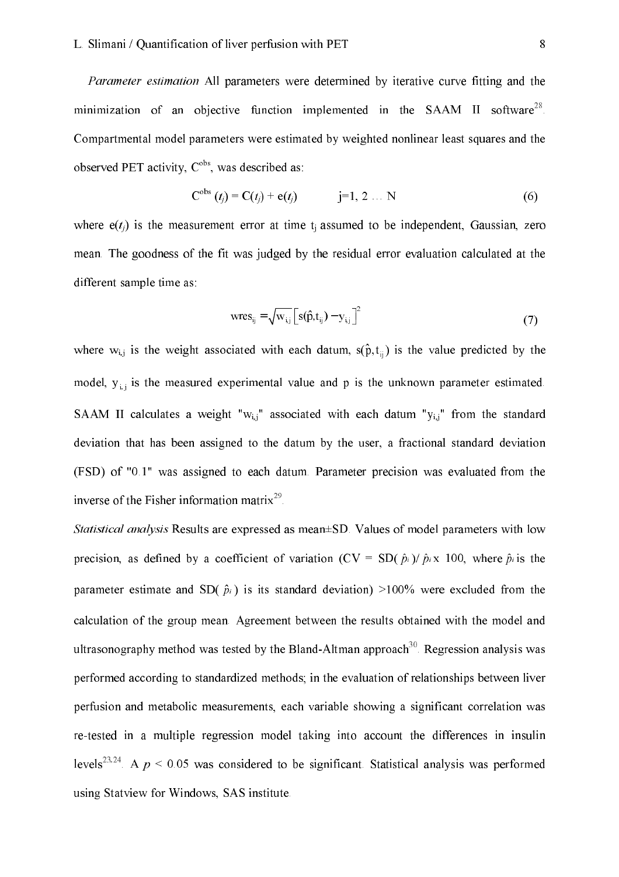#### L. Slimani / Quantification of liver perfusion with PET

Parameter estimation All parameters were determined by iterative curve fitting and the minimization of an objective function implemented in the SAAM II software<sup>28</sup>. Compartmental model parameters were estimated by weighted nonlinear least squares and the observed PET activity,  $C^{obs}$ , was described as:

$$
C^{obs} (t_j) = C(t_j) + e(t_j) \qquad j=1, 2 ... N \qquad (6)
$$

where  $e(t_i)$  is the measurement error at time t<sub>i</sub> assumed to be independent. Gaussian, zero mean. The goodness of the fit was judged by the residual error evaluation calculated at the different sample time as:

$$
wres_{ij} = \sqrt{W_{i,j}} \left[ s(\hat{p}, t_{ij}) - y_{i,j} \right]^2
$$
 (7)

where  $w_{i,j}$  is the weight associated with each datum,  $s(\hat{p}, t_{ij})$  is the value predicted by the model,  $y_{ij}$  is the measured experimental value and p is the unknown parameter estimated. SAAM II calculates a weight " $w_{i,j}$ " associated with each datum " $y_{i,j}$ " from the standard deviation that has been assigned to the datum by the user, a fractional standard deviation (FSD) of "0.1" was assigned to each datum. Parameter precision was evaluated from the inverse of the Fisher information matrix<sup>29</sup>

Statistical analysis Results are expressed as mean±SD. Values of model parameters with low precision, as defined by a coefficient of variation (CV = SD( $\hat{p}_i$ )/ $\hat{p}_i$  x 100, where  $\hat{p}_i$  is the parameter estimate and SD( $\hat{p}_i$ ) is its standard deviation) >100% were excluded from the calculation of the group mean. Agreement between the results obtained with the model and ultrasonography method was tested by the Bland-Altman approach<sup>30</sup>. Regression analysis was performed according to standardized methods; in the evaluation of relationships between liver perfusion and metabolic measurements, each variable showing a significant correlation was re-tested in a multiple regression model taking into account the differences in insulin levels<sup>23,24</sup> A  $p \le 0.05$  was considered to be significant. Statistical analysis was performed using Statview for Windows, SAS institute.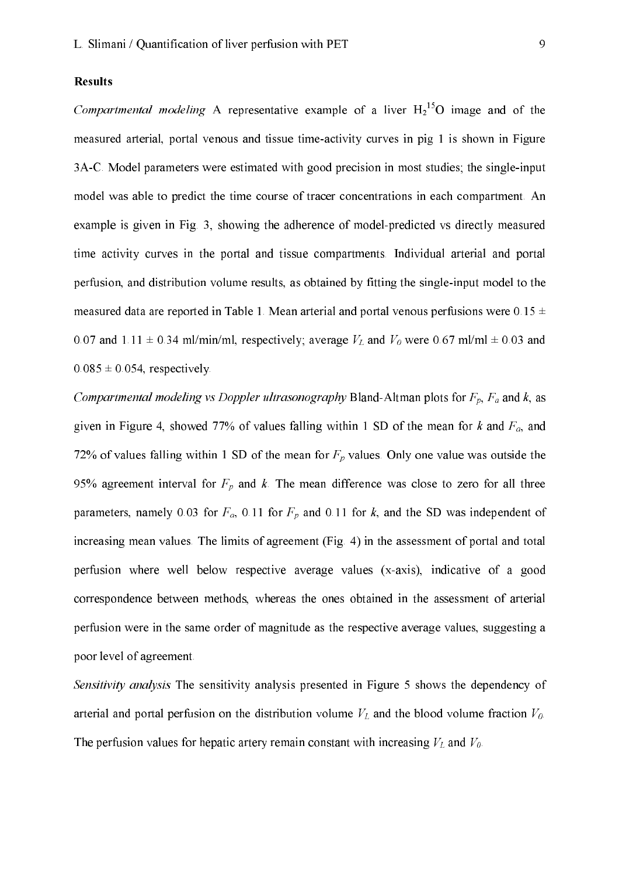#### **Results**

*Compartmental modeling* A representative example of a liver  $H_2^{15}O$  image and of the measured arterial, portal venous and tissue time-activity curves in pig 1 is shown in Figure 3A-C. Model parameters were estimated with good precision in most studies; the single-input model was able to predict the time course of tracer concentrations in each compartment. An example is given in Fig. 3, showing the adherence of model-predicted vs directly measured time activity curves in the portal and tissue compartments. Individual arterial and portal perfusion, and distribution volume results, as obtained by fitting the single-input model to the measured data are reported in Table 1. Mean arterial and portal venous perfusions were  $0.15 \pm$ 0.07 and 1.11  $\pm$  0.34 ml/min/ml, respectively; average  $V_L$  and  $V_0$  were 0.67 ml/ml  $\pm$  0.03 and  $0.085 \pm 0.054$ , respectively.

Compartmental modeling vs Doppler ultrasonography Bland-Altman plots for  $F_p$ ,  $F_a$  and  $k$ , as given in Figure 4, showed 77% of values falling within 1 SD of the mean for k and  $F_a$ , and 72% of values falling within 1 SD of the mean for  $F_p$  values. Only one value was outside the 95% agreement interval for  $F_p$  and k. The mean difference was close to zero for all three parameters, namely 0.03 for  $F_a$ , 0.11 for  $F_p$  and 0.11 for k, and the SD was independent of increasing mean values. The limits of agreement (Fig. 4) in the assessment of portal and total perfusion where well below respective average values (x-axis), indicative of a good correspondence between methods, whereas the ones obtained in the assessment of arterial perfusion were in the same order of magnitude as the respective average values, suggesting a poor level of agreement.

Sensitivity analysis The sensitivity analysis presented in Figure 5 shows the dependency of arterial and portal perfusion on the distribution volume  $V_L$  and the blood volume fraction  $V_0$ . The perfusion values for hepatic artery remain constant with increasing  $V_L$  and  $V_0$ .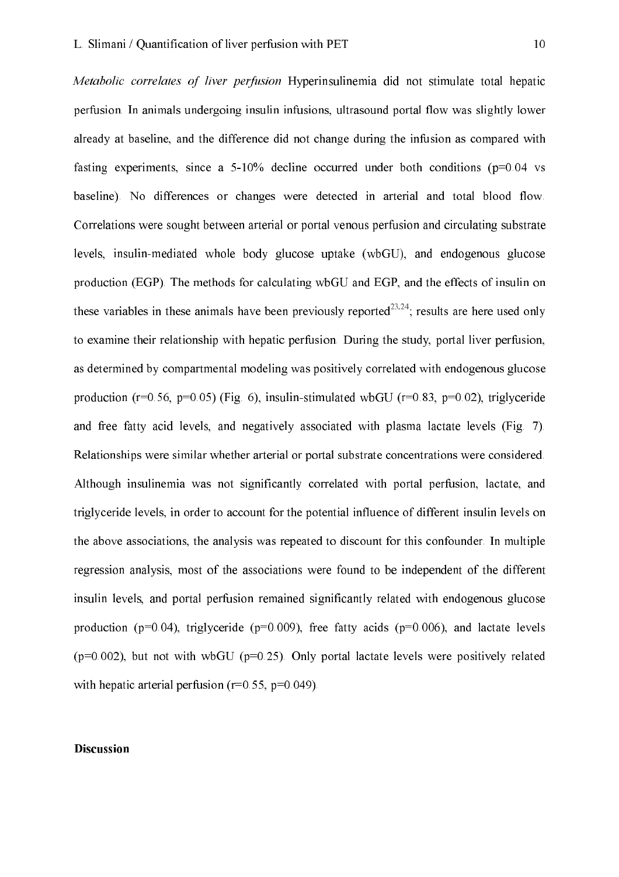Metabolic correlates of liver perfusion Hyperinsulinemia did not stimulate total hepatic perfusion. In animals undergoing insulin infusions, ultrasound portal flow was slightly lower already at baseline, and the difference did not change during the infusion as compared with fasting experiments, since a  $5-10\%$  decline occurred under both conditions ( $p=0.04$  vs baseline). No differences or changes were detected in arterial and total blood flow. Correlations were sought between arterial or portal venous perfusion and circulating substrate levels, insulin-mediated whole body glucose uptake (wbGU), and endogenous glucose production (EGP). The methods for calculating wbGU and EGP, and the effects of insulin on these variables in these animals have been previously reported<sup>23,24</sup>; results are here used only to examine their relationship with hepatic perfusion. During the study, portal liver perfusion, as determined by compartmental modeling was positively correlated with endogenous glucose production ( $r=0.56$ ,  $p=0.05$ ) (Fig. 6), insulin-stimulated wbGU ( $r=0.83$ ,  $p=0.02$ ), triglyceride and free fatty acid levels, and negatively associated with plasma lactate levels (Fig. 7). Relationships were similar whether arterial or portal substrate concentrations were considered. Although insulinemia was not significantly correlated with portal perfusion, lactate, and triglyceride levels, in order to account for the potential influence of different insulin levels on the above associations, the analysis was repeated to discount for this confounder. In multiple regression analysis, most of the associations were found to be independent of the different insulin levels, and portal perfusion remained significantly related with endogenous glucose production ( $p=0.04$ ), triglyceride ( $p=0.009$ ), free fatty acids ( $p=0.006$ ), and lactate levels  $(p=0.002)$ , but not with wbGU ( $p=0.25$ ). Only portal lactate levels were positively related with hepatic arterial perfusion ( $r=0.55$ ,  $p=0.049$ ).

#### **Discussion**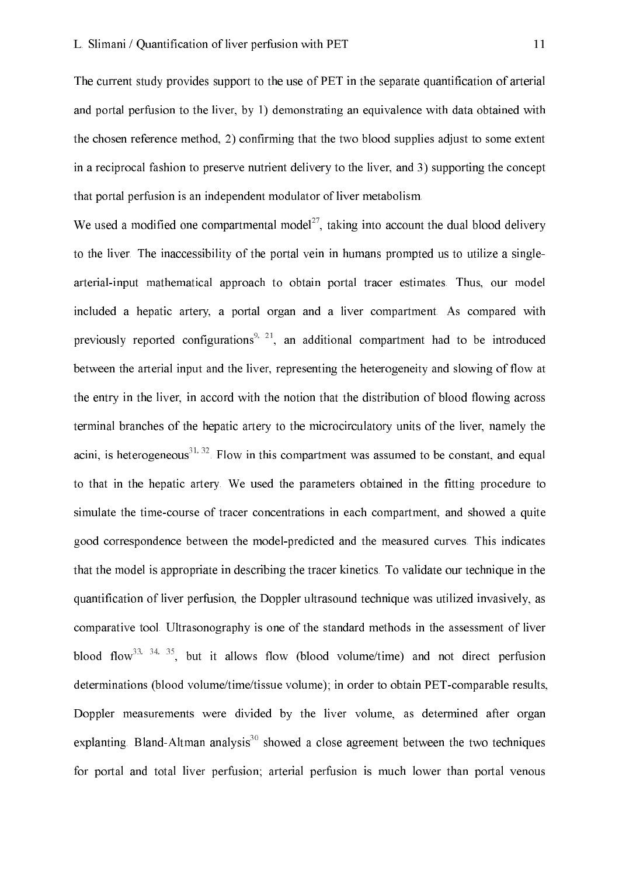The current study provides support to the use of PET in the separate quantification of arterial and portal perfusion to the liver, by 1) demonstrating an equivalence with data obtained with the chosen reference method, 2) confirming that the two blood supplies adjust to some extent in a reciprocal fashion to preserve nutrient delivery to the liver, and 3) supporting the concept that portal perfusion is an independent modulator of liver metabolism.

We used a modified one compartmental model<sup>27</sup>, taking into account the dual blood delivery to the liver. The inaccessibility of the portal vein in humans prompted us to utilize a singlearterial-input mathematical approach to obtain portal tracer estimates. Thus, our model included a hepatic artery, a portal organ and a liver compartment. As compared with previously reported configurations<sup>9, 21</sup>, an additional compartment had to be introduced between the arterial input and the liver, representing the heterogeneity and slowing of flow at the entry in the liver, in accord with the notion that the distribution of blood flowing across terminal branches of the hepatic artery to the microcirculatory units of the liver, namely the acini, is heterogeneous<sup>31, 32</sup>. Flow in this compartment was assumed to be constant, and equal to that in the hepatic artery. We used the parameters obtained in the fitting procedure to simulate the time-course of tracer concentrations in each compartment, and showed a quite good correspondence between the model-predicted and the measured curves. This indicates that the model is appropriate in describing the tracer kinetics. To validate our technique in the quantification of liver perfusion, the Doppler ultrasound technique was utilized invasively, as comparative tool. Ultrasonography is one of the standard methods in the assessment of liver blood flow<sup>33, 34, 35</sup>, but it allows flow (blood volume/time) and not direct perfusion determinations (blood volume/time/tissue volume); in order to obtain PET-comparable results. Doppler measurements were divided by the liver volume, as determined after organ explanting. Bland-Altman analysis<sup>30</sup> showed a close agreement between the two techniques for portal and total liver perfusion; arterial perfusion is much lower than portal venous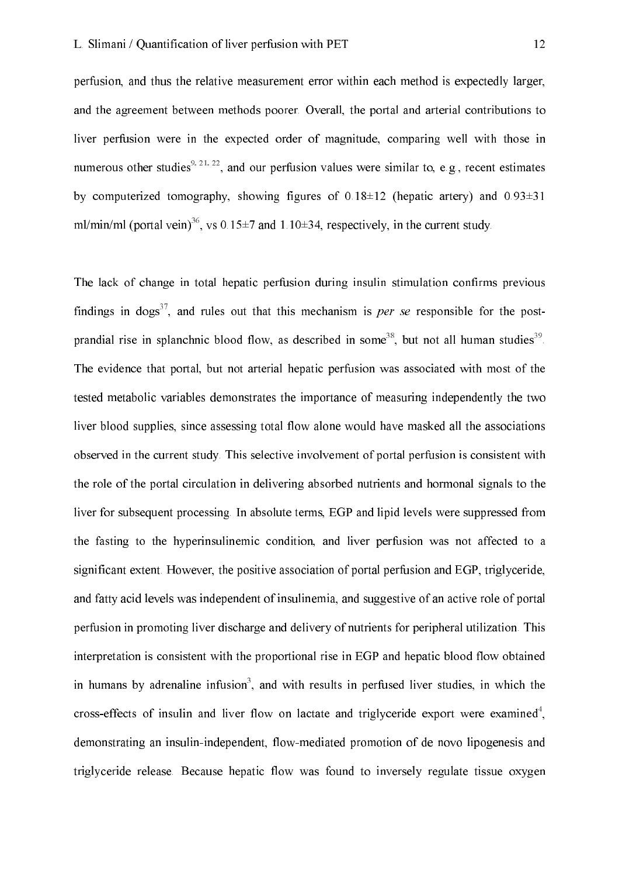perfusion, and thus the relative measurement error within each method is expectedly larger, and the agreement between methods poorer. Overall, the portal and arterial contributions to liver perfusion were in the expected order of magnitude, comparing well with those in numerous other studies<sup>9, 21, 22</sup>, and our perfusion values were similar to, e.g., recent estimates by computerized tomography, showing figures of  $0.18\pm12$  (hepatic artery) and  $0.93\pm31$ ml/min/ml (portal vein)<sup>36</sup>, vs 0.15 $\pm$ 7 and 1.10 $\pm$ 34, respectively, in the current study.

The lack of change in total hepatic perfusion during insulin stimulation confirms previous findings in dogs<sup>37</sup>, and rules out that this mechanism is *per se* responsible for the postprandial rise in splanchnic blood flow, as described in some<sup>38</sup>, but not all human studies<sup>39</sup>. The evidence that portal, but not arterial hepatic perfusion was associated with most of the tested metabolic variables demonstrates the importance of measuring independently the two liver blood supplies, since assessing total flow alone would have masked all the associations observed in the current study. This selective involvement of portal perfusion is consistent with the role of the portal circulation in delivering absorbed nutrients and hormonal signals to the liver for subsequent processing. In absolute terms, EGP and lipid levels were suppressed from the fasting to the hyperinsulinemic condition, and liver perfusion was not affected to a significant extent. However, the positive association of portal perfusion and EGP, triglyceride, and fatty acid levels was independent of insulinemia, and suggestive of an active role of portal perfusion in promoting liver discharge and delivery of nutrients for peripheral utilization. This interpretation is consistent with the proportional rise in EGP and hepatic blood flow obtained in humans by adrenaline infusion<sup>3</sup>, and with results in perfused liver studies, in which the cross-effects of insulin and liver flow on lactate and triglyceride export were examined<sup>4</sup>, demonstrating an insulin-independent, flow-mediated promotion of de novo lipogenesis and triglyceride release. Because hepatic flow was found to inversely regulate tissue oxygen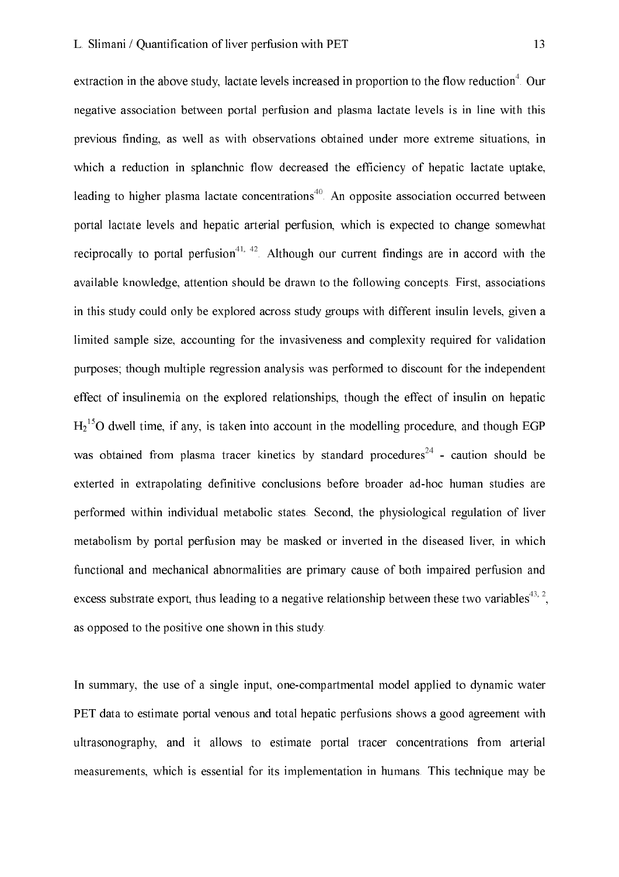extraction in the above study, lactate levels increased in proportion to the flow reduction<sup>4</sup>. Our negative association between portal perfusion and plasma lactate levels is in line with this previous finding, as well as with observations obtained under more extreme situations, in which a reduction in splanchnic flow decreased the efficiency of hepatic lactate uptake, leading to higher plasma lactate concentrations<sup>40</sup>. An opposite association occurred between portal lactate levels and hepatic arterial perfusion, which is expected to change somewhat reciprocally to portal perfusion<sup>41, 42</sup>. Although our current findings are in accord with the available knowledge, attention should be drawn to the following concepts. First, associations in this study could only be explored across study groups with different insulin levels, given a limited sample size, accounting for the invasiveness and complexity required for validation purposes; though multiple regression analysis was performed to discount for the independent effect of insulinemia on the explored relationships, though the effect of insulin on hepatic  $H_2$ <sup>15</sup>O dwell time, if any, is taken into account in the modelling procedure, and though EGP was obtained from plasma tracer kinetics by standard procedures<sup>24</sup> - caution should be exterted in extrapolating definitive conclusions before broader ad-hoc human studies are performed within individual metabolic states. Second, the physiological regulation of liver metabolism by portal perfusion may be masked or inverted in the diseased liver, in which functional and mechanical abnormalities are primary cause of both impaired perfusion and excess substrate export, thus leading to a negative relationship between these two variables<sup>43, 2</sup>. as opposed to the positive one shown in this study.

In summary, the use of a single input, one-compartmental model applied to dynamic water PET data to estimate portal venous and total hepatic perfusions shows a good agreement with ultrasonography, and it allows to estimate portal tracer concentrations from arterial measurements, which is essential for its implementation in humans. This technique may be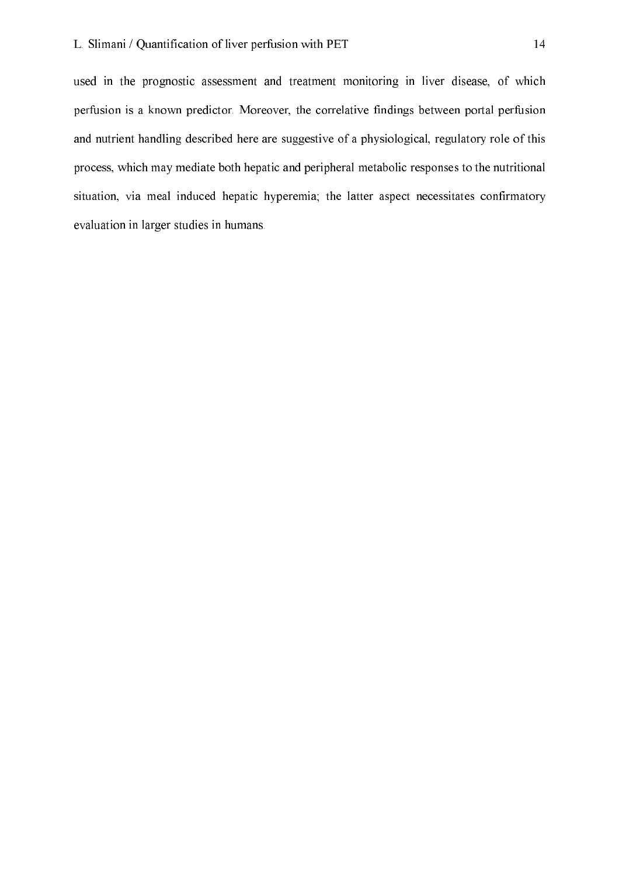used in the prognostic assessment and treatment monitoring in liver disease, of which perfusion is a known predictor. Moreover, the correlative findings between portal perfusion and nutrient handling described here are suggestive of a physiological, regulatory role of this process, which may mediate both hepatic and peripheral metabolic responses to the nutritional situation, via meal induced hepatic hyperemia; the latter aspect necessitates confirmatory evaluation in larger studies in humans.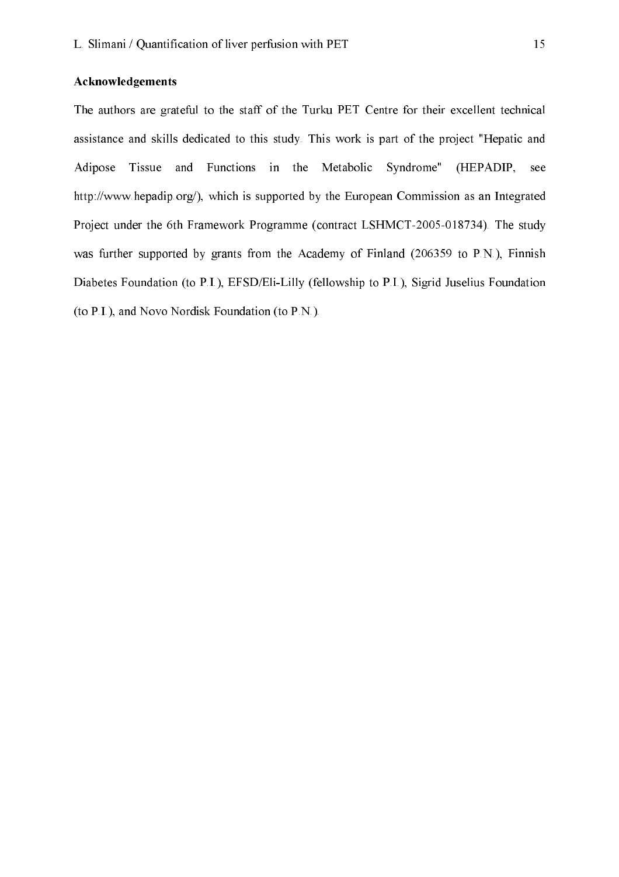#### Acknowledgements

The authors are grateful to the staff of the Turku PET Centre for their excellent technical assistance and skills dedicated to this study. This work is part of the project "Hepatic and Adipose Tissue and Functions in the Metabolic Syndrome" (HEPADIP, see http://www.hepadip.org/), which is supported by the European Commission as an Integrated Project under the 6th Framework Programme (contract LSHMCT-2005-018734). The study was further supported by grants from the Academy of Finland (206359 to P.N.), Finnish Diabetes Foundation (to P.I.), EFSD/Eli-Lilly (fellowship to P.I.), Sigrid Juselius Foundation (to P.I.), and Novo Nordisk Foundation (to P.N.).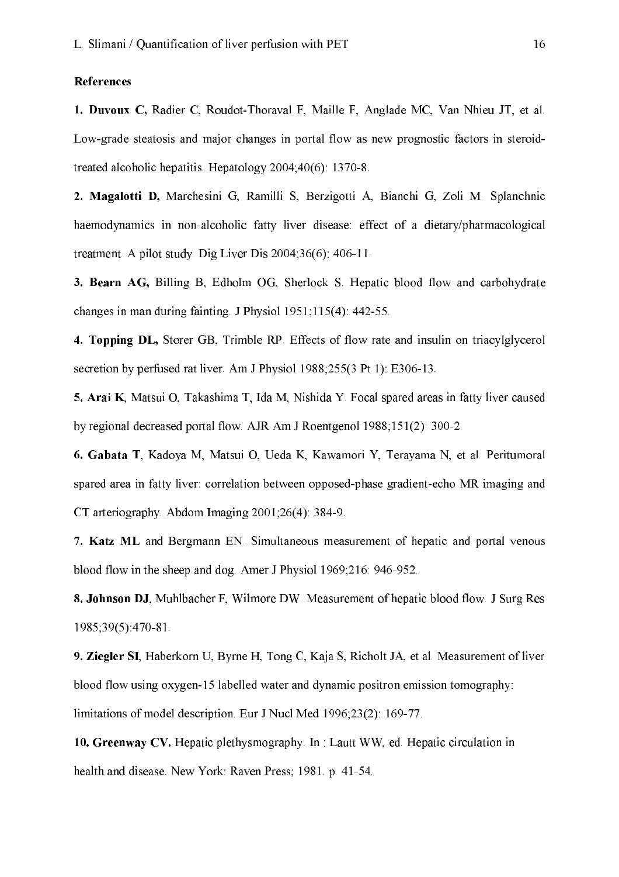#### References

1. Duvoux C, Radier C, Roudot-Thoraval F, Maille F, Anglade MC, Van Nhieu JT, et al. Low-grade steatosis and major changes in portal flow as new prognostic factors in steroidtreated alcoholic hepatitis. Hepatology  $2004,40(6)$ : 1370-8.

2. Magalotti D, Marchesini G, Ramilli S, Berzigotti A, Bianchi G, Zoli M. Splanchnic haemodynamics in non-alcoholic fatty liver disease: effect of a dietary/pharmacological treatment. A pilot study. Dig Liver Dis  $2004;36(6)$ : 406-11.

3. Bearn AG, Billing B, Edholm OG, Sherlock S. Hepatic blood flow and carbohydrate changes in man during fainting. J Physiol  $1951;115(4)$ : 442-55.

4. Topping DL, Storer GB, Trimble RP. Effects of flow rate and insulin on triacylglycerol secretion by perfused rat liver. Am J Physiol 1988;255(3 Pt 1): E306-13.

5. Arai K, Matsui O, Takashima T, Ida M, Nishida Y. Focal spared areas in fatty liver caused by regional decreased portal flow. AJR Am J Roentgenol 1988;151(2): 300-2.

6. Gabata T, Kadoya M, Matsui O, Ueda K, Kawamori Y, Terayama N, et al. Peritumoral spared area in fatty liver: correlation between opposed-phase gradient-echo MR imaging and CT arteriography. Abdom Imaging 2001;26(4): 384-9.

7. Katz ML and Bergmann EN. Simultaneous measurement of hepatic and portal venous blood flow in the sheep and dog. Amer J Physiol 1969;216: 946-952.

8. Johnson DJ, Muhlbacher F, Wilmore DW. Measurement of hepatic blood flow. J Surg Res 1985;39(5):470-81.

9. Ziegler SI, Haberkorn U, Byrne H, Tong C, Kaja S, Richolt JA, et al. Measurement of liver blood flow using oxygen-15 labelled water and dynamic positron emission tomography: limitations of model description. Eur J Nucl Med 1996;23(2): 169-77.

10. Greenway CV. Hepatic plethysmography. In: Lautt WW, ed. Hepatic circulation in health and disease. New York: Raven Press; 1981. p. 41-54.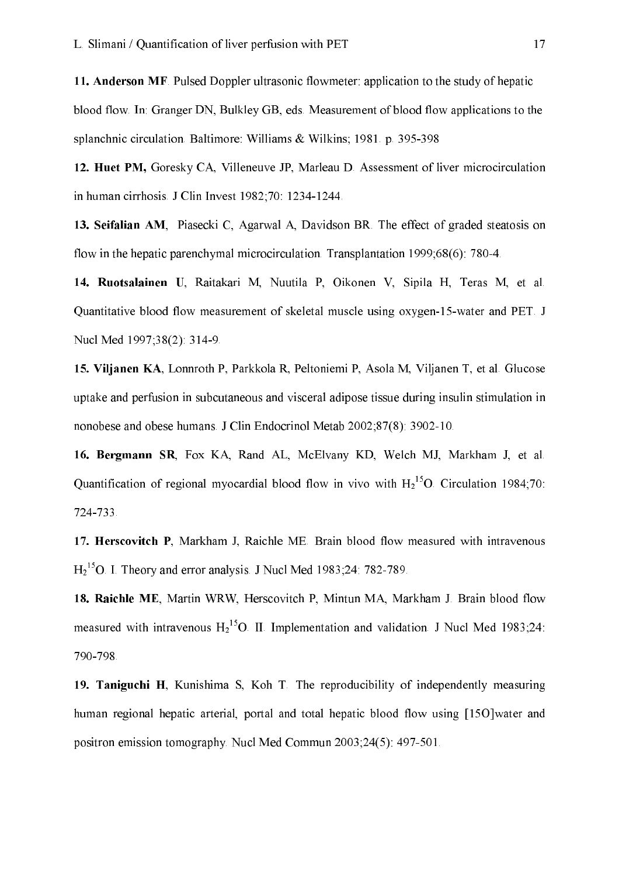11. Anderson MF. Pulsed Doppler ultrasonic flowmeter: application to the study of hepatic blood flow. In: Granger DN, Bulkley GB, eds. Measurement of blood flow applications to the splanchnic circulation. Baltimore: Williams & Wilkins; 1981. p. 395-398

12. Huet PM, Goresky CA, Villeneuve JP, Marleau D. Assessment of liver microcirculation in human cirrhosis. J Clin Invest 1982;70: 1234-1244.

13. Seifalian AM, Piasecki C, Agarwal A, Davidson BR. The effect of graded steatosis on flow in the hepatic parenchymal microcirculation. Transplantation  $1999;68(6)$ : 780-4.

14. Ruotsalainen U, Raitakari M, Nuutila P, Oikonen V, Sipila H, Teras M, et al. Quantitative blood flow measurement of skeletal muscle using oxygen-15-water and PET. J Nucl Med 1997;38(2): 314-9.

15. Viljanen KA, Lonnroth P, Parkkola R, Peltoniemi P, Asola M, Viljanen T, et al. Glucose uptake and perfusion in subcutaneous and visceral adipose tissue during insulin stimulation in nonobese and obese humans. J Clin Endocrinol Metab 2002;87(8): 3902-10.

16. Bergmann SR, Fox KA, Rand AL, McElvany KD, Welch MJ, Markham J, et al. Quantification of regional myocardial blood flow in vivo with  $H_2^{15}O$ . Circulation 1984;70: 724-733.

17. Herscovitch P, Markham J, Raichle ME. Brain blood flow measured with intravenous  $H_2^{15}$ O. I. Theory and error analysis. J Nucl Med 1983;24: 782-789.

18. Raichle ME, Martin WRW, Herscovitch P, Mintun MA, Markham J. Brain blood flow measured with intravenous  $H_2^{15}O$ . II. Implementation and validation. J Nucl Med 1983;24: 790-798.

19. Taniguchi H, Kunishima S, Koh T. The reproducibility of independently measuring human regional hepatic arterial, portal and total hepatic blood flow using [15O]water and positron emission tomography. Nucl Med Commun 2003;24(5): 497-501.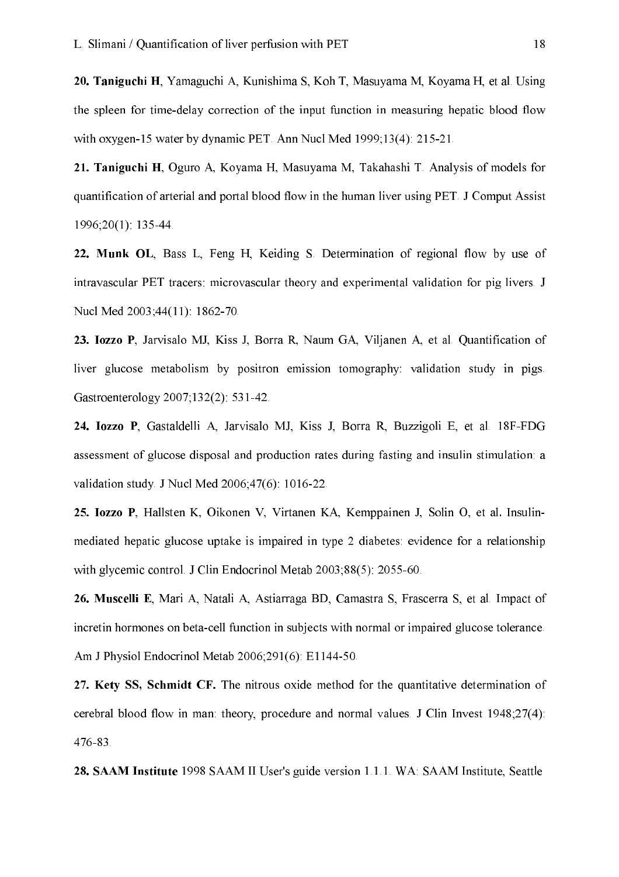20. Taniguchi H, Yamaguchi A, Kunishima S, Koh T, Masuyama M, Koyama H, et al. Using the spleen for time-delay correction of the input function in measuring hepatic blood flow with oxygen-15 water by dynamic PET. Ann Nucl Med 1999;13(4): 215-21.

21. Taniguchi H, Oguro A, Koyama H, Masuyama M, Takahashi T. Analysis of models for quantification of arterial and portal blood flow in the human liver using PET. J Comput Assist  $1996:20(1)$ : 135-44.

22. Munk OL, Bass L, Feng H, Keiding S. Determination of regional flow by use of intravascular PET tracers: microvascular theory and experimental validation for pig livers. J Nucl Med 2003;44(11): 1862-70.

23. Iozzo P, Jarvisalo MJ, Kiss J, Borra R, Naum GA, Viljanen A, et al. Quantification of liver glucose metabolism by positron emission tomography: validation study in pigs. Gastroenterology 2007;132(2): 531-42.

24. Iozzo P, Gastaldelli A, Jarvisalo MJ, Kiss J, Borra R, Buzzigoli E, et al. 18F-FDG assessment of glucose disposal and production rates during fasting and insulin stimulation: a validation study. J Nucl Med 2006;47(6): 1016-22.

25. Iozzo P, Hallsten K, Oikonen V, Virtanen KA, Kemppainen J, Solin O, et al. Insulinmediated hepatic glucose uptake is impaired in type 2 diabetes: evidence for a relationship with glycemic control. J Clin Endocrinol Metab 2003;88(5): 2055-60.

26. Muscelli E, Mari A, Natali A, Astiarraga BD, Camastra S, Frascerra S, et al. Impact of incretin hormones on beta-cell function in subjects with normal or impaired glucose tolerance. Am J Physiol Endocrinol Metab 2006;291(6): E1144-50.

27. Kety SS, Schmidt CF. The nitrous oxide method for the quantitative determination of cerebral blood flow in man; theory, procedure and normal values. J Clin Invest 1948;27(4): 476-83.

28. SAAM Institute 1998 SAAM II User's guide version 1.1.1. WA: SAAM Institute, Seattle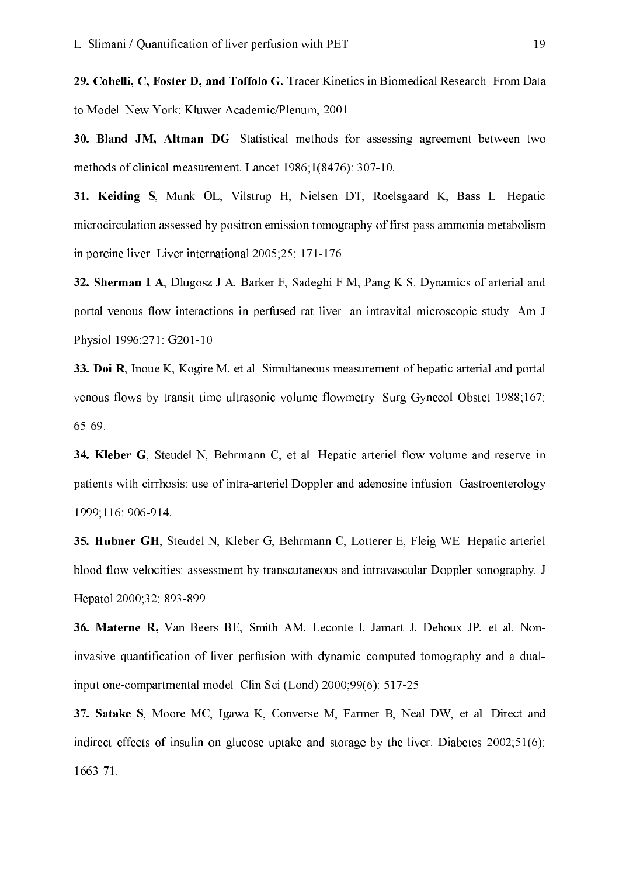29. Cobelli, C, Foster D, and Toffolo G. Tracer Kinetics in Biomedical Research: From Data to Model. New York: Kluwer Academic/Plenum. 2001.

30. Bland JM, Altman DG. Statistical methods for assessing agreement between two methods of clinical measurement. Lancet 1986;1(8476): 307-10.

31. Keiding S. Munk OL, Vilstrup H. Nielsen DT, Roelsgaard K. Bass L. Hepatic microcirculation assessed by positron emission tomography of first pass ammonia metabolism in porcine liver. Liver international 2005;25: 171-176.

32. Sherman I A, Dlugosz J A, Barker F, Sadeghi F M, Pang K S. Dynamics of arterial and portal venous flow interactions in perfused rat liver: an intravital microscopic study. Am J Physiol 1996;271: G201-10.

33. Doi R, Inoue K, Kogire M, et al. Simultaneous measurement of hepatic arterial and portal venous flows by transit time ultrasonic volume flowmetry. Surg Gynecol Obstet 1988;167: 65-69.

34. Kleber G, Steudel N, Behrmann C, et al. Hepatic arteriel flow volume and reserve in patients with cirrhosis: use of intra-arteriel Doppler and adenosine infusion. Gastroenterology 1999;116:906-914.

35. Hubner GH, Steudel N, Kleber G, Behrmann C, Lotterer E, Fleig WE. Hepatic arteriel blood flow velocities: assessment by transcutaneous and intravascular Doppler sonography. J Hepatol 2000;32: 893-899.

36. Materne R, Van Beers BE, Smith AM, Leconte I, Jamart J, Dehoux JP, et al. Noninvasive quantification of liver perfusion with dynamic computed tomography and a dualinput one-compartmental model. Clin Sci (Lond) 2000;99(6): 517-25.

37. Satake S, Moore MC, Igawa K, Converse M, Farmer B, Neal DW, et al. Direct and indirect effects of insulin on glucose uptake and storage by the liver. Diabetes 2002;51(6):  $1663 - 71$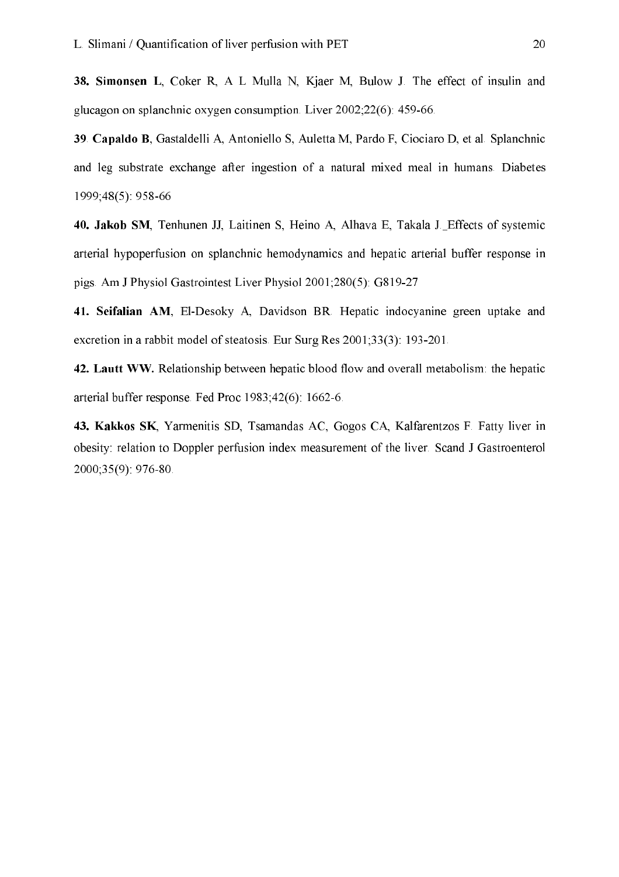38. Simonsen L, Coker R, A L Mulla N, Kjaer M, Bulow J. The effect of insulin and glucagon on splanchnic oxygen consumption. Liver  $2002:22(6)$ : 459-66.

39. Capaldo B, Gastaldelli A, Antoniello S, Auletta M, Pardo F, Ciociaro D, et al. Splanchnic and leg substrate exchange after ingestion of a natural mixed meal in humans. Diabetes 1999;48(5): 958-66

40. Jakob SM, Tenhunen JJ, Laitinen S, Heino A, Alhava E, Takala J. Effects of systemic arterial hypoperfusion on splanchnic hemodynamics and hepatic arterial buffer response in pigs. Am J Physiol Gastrointest Liver Physiol 2001;280(5): G819-27

41. Seifalian AM, El-Desoky A, Davidson BR. Hepatic indocyanine green uptake and excretion in a rabbit model of steatosis. Eur Surg Res 2001;33(3): 193-201.

42. Lautt WW. Relationship between hepatic blood flow and overall metabolism: the hepatic arterial buffer response. Fed Proc 1983;42(6): 1662-6.

43. Kakkos SK, Yarmenitis SD, Tsamandas AC, Gogos CA, Kalfarentzos F. Fatty liver in obesity: relation to Doppler perfusion index measurement of the liver. Scand J Gastroenterol  $2000;35(9)$ : 976-80.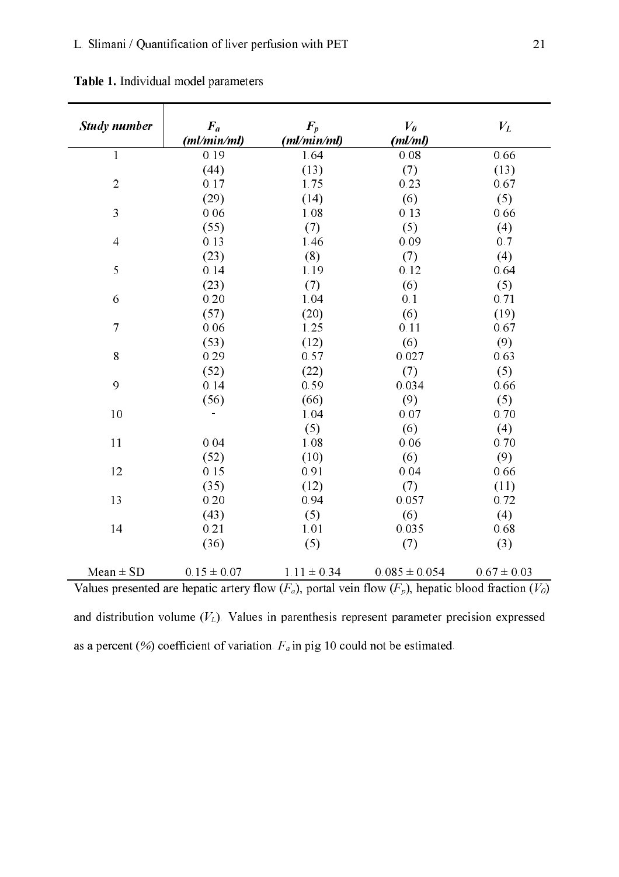| Study number                                                                                         | $F_a$<br>(ml/min/ml) | $\bm{F}_p$<br>(ml/min/ml) | $V_{\theta}$<br>(ml/ml) | $V_L$           |
|------------------------------------------------------------------------------------------------------|----------------------|---------------------------|-------------------------|-----------------|
| $\mathbf{1}$                                                                                         | 0.19                 | 1.64                      | 0.08                    | 0.66            |
|                                                                                                      | (44)                 | (13)                      | (7)                     | (13)            |
| $\overline{2}$                                                                                       | 0.17                 | 1.75                      | 0.23                    | 0.67            |
|                                                                                                      | (29)                 | (14)                      | (6)                     | (5)             |
| 3                                                                                                    | 0.06                 | 1.08                      | 0.13                    | 0.66            |
|                                                                                                      | (55)                 | (7)                       | (5)                     | (4)             |
| $\overline{4}$                                                                                       | 0.13                 | 1.46                      | 0.09                    | 0.7             |
|                                                                                                      | (23)                 | (8)                       | (7)                     | (4)             |
| 5                                                                                                    | 0.14                 | 1.19                      | 0.12                    | 0.64            |
|                                                                                                      | (23)                 | (7)                       | (6)                     | (5)             |
| 6                                                                                                    | 0.20                 | 1.04                      | 0.1                     | 0.71            |
|                                                                                                      | (57)                 | (20)                      | (6)                     | (19)            |
| $\overline{7}$                                                                                       | 0.06                 | 1.25                      | 0.11                    | 0.67            |
|                                                                                                      | (53)                 | (12)                      | (6)                     | (9)             |
| 8                                                                                                    | 0.29                 | 0.57                      | 0.027                   | 0.63            |
|                                                                                                      | (52)                 | (22)                      | (7)                     | (5)             |
| 9                                                                                                    | 0.14                 | 0.59                      | 0.034                   | 0.66            |
|                                                                                                      | (56)                 | (66)                      | (9)                     | (5)             |
| 10                                                                                                   | ÷,                   | 1.04                      | 0.07                    | 0.70            |
|                                                                                                      |                      | (5)                       | (6)                     | (4)             |
| 11                                                                                                   | 0.04                 | 1.08                      | 0.06                    | 0.70            |
|                                                                                                      | (52)                 | (10)                      | (6)                     | (9)             |
| 12                                                                                                   | 0.15                 | 0.91                      | 0.04                    | 0.66            |
|                                                                                                      | (35)                 | (12)                      | (7)                     | (11)            |
| 13                                                                                                   | 0.20                 | 0.94                      | 0.057                   | 0.72            |
|                                                                                                      | (43)                 | (5)                       | (6)                     | (4)             |
| 14                                                                                                   | 0.21                 | 1.01                      | 0.035                   | 0.68            |
|                                                                                                      | (36)                 | (5)                       | (7)                     | (3)             |
| $Mean \pm SD$                                                                                        | $0.15 \pm 0.07$      | $1.11 \pm 0.34$           | $0.085 \pm 0.054$       | $0.67 \pm 0.03$ |
| Values presented are benatic artery flow $(F)$ portal vein flow $(F)$ benatic blood fraction $(V_0)$ |                      |                           |                         |                 |

Table 1. Individual model parameters

Values presented are hepatic artery flow  $(F_a)$ , portal vein flow  $(F_p)$ , hepatic blood fraction  $(V_0)$ and distribution volume  $(V_L)$ . Values in parenthesis represent parameter precision expressed as a percent (%) coefficient of variation.  $F_a$  in pig 10 could not be estimated.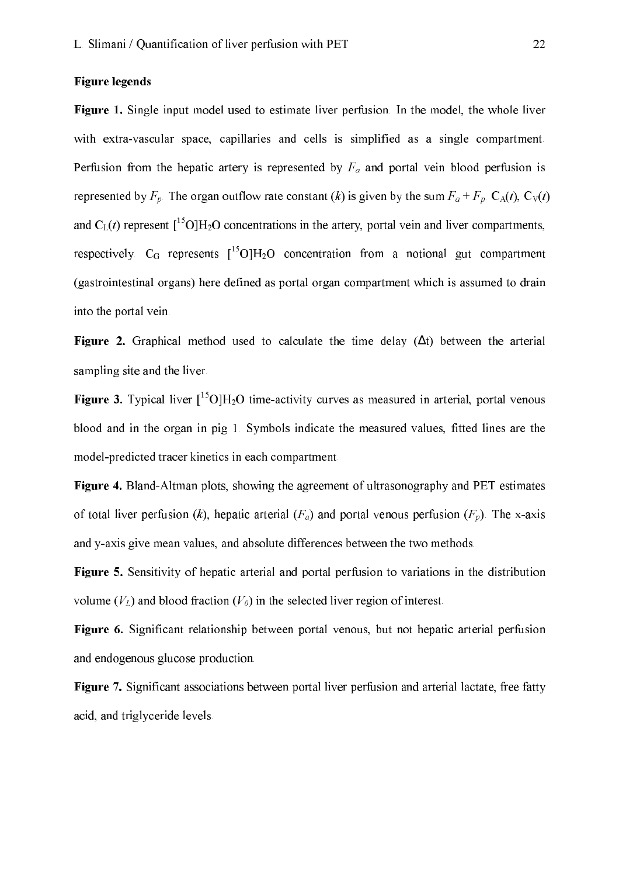#### **Figure legends**

Figure 1. Single input model used to estimate liver perfusion. In the model, the whole liver with extra-vascular space, capillaries and cells is simplified as a single compartment. Perfusion from the hepatic artery is represented by  $F_a$  and portal vein blood perfusion is represented by  $F_p$ . The organ outflow rate constant (k) is given by the sum  $F_a + F_p$ . C<sub>A</sub>(t), C<sub>V</sub>(t) and  $C_{I}(t)$  represent  $\int_{0}^{15}O\left[H_{2}O\right]$  concentrations in the artery, portal vein and liver compartments, respectively.  $C_G$  represents  $\int_0^{15} O[H_2O]$  concentration from a notional gut compartment (gastrointestinal organs) here defined as portal organ compartment which is assumed to drain into the portal vein.

**Figure 2.** Graphical method used to calculate the time delay  $(\Delta t)$  between the arterial sampling site and the liver.

**Figure 3.** Typical liver  $\int_0^{15} O \left( H_2 O \right)$  time-activity curves as measured in arterial, portal venous blood and in the organ in pig 1. Symbols indicate the measured values, fitted lines are the model-predicted tracer kinetics in each compartment.

Figure 4. Bland-Altman plots, showing the agreement of ultrasonography and PET estimates of total liver perfusion (k), hepatic arterial ( $F_a$ ) and portal venous perfusion ( $F_p$ ). The x-axis and y-axis give mean values, and absolute differences between the two methods.

Figure 5. Sensitivity of hepatic arterial and portal perfusion to variations in the distribution volume  $(V_L)$  and blood fraction  $(V_0)$  in the selected liver region of interest.

Figure 6. Significant relationship between portal venous, but not hepatic arterial perfusion and endogenous glucose production.

Figure 7. Significant associations between portal liver perfusion and arterial lactate, free fatty acid, and triglyceride levels.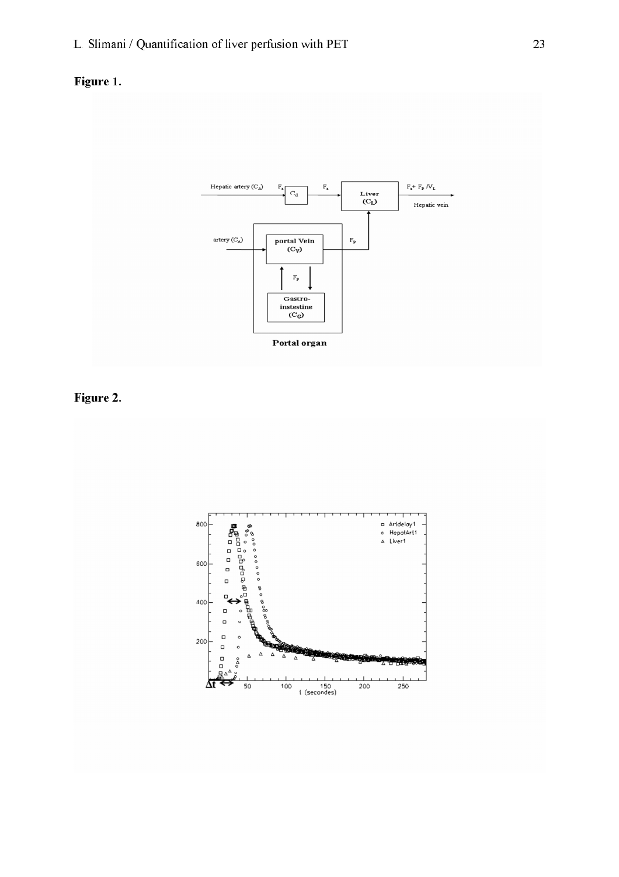



Figure 2.

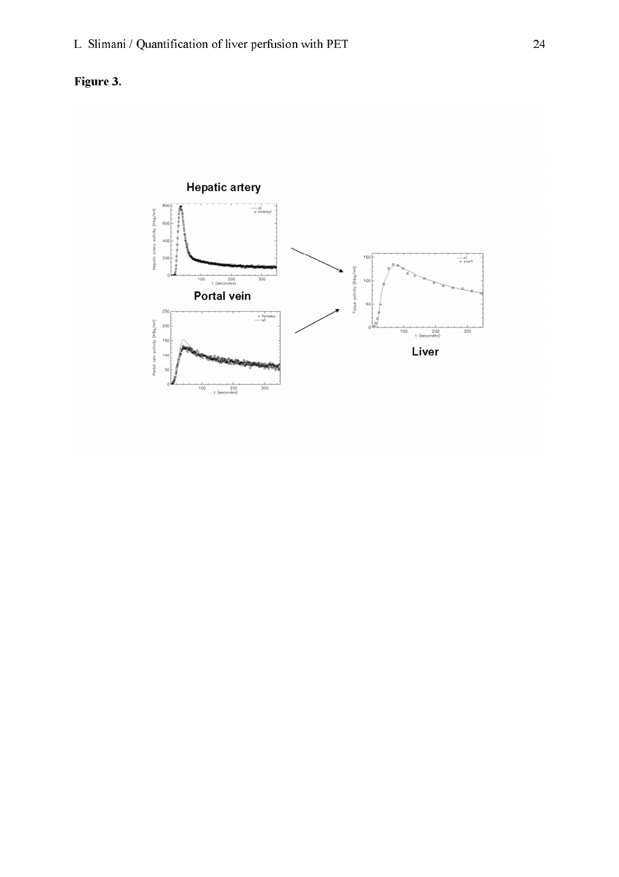

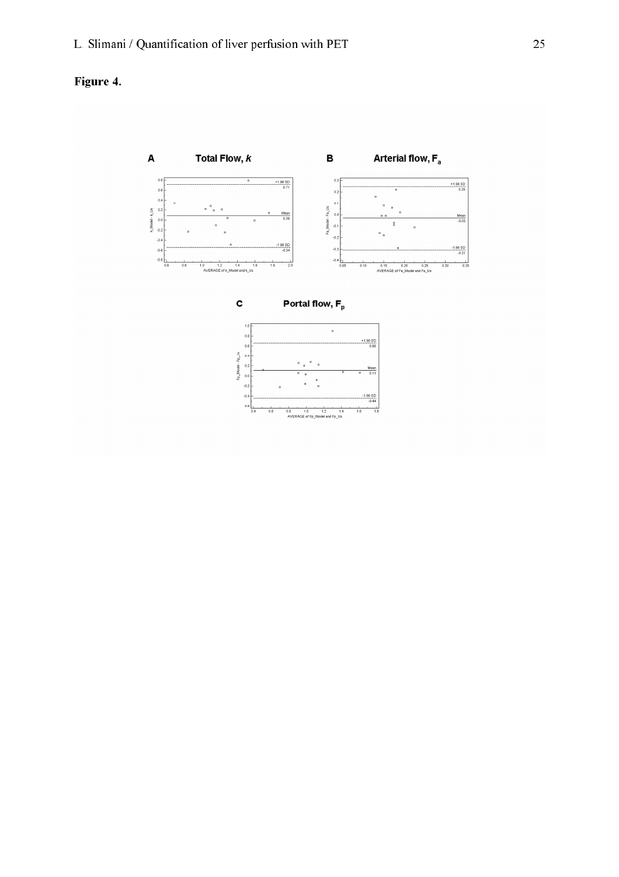

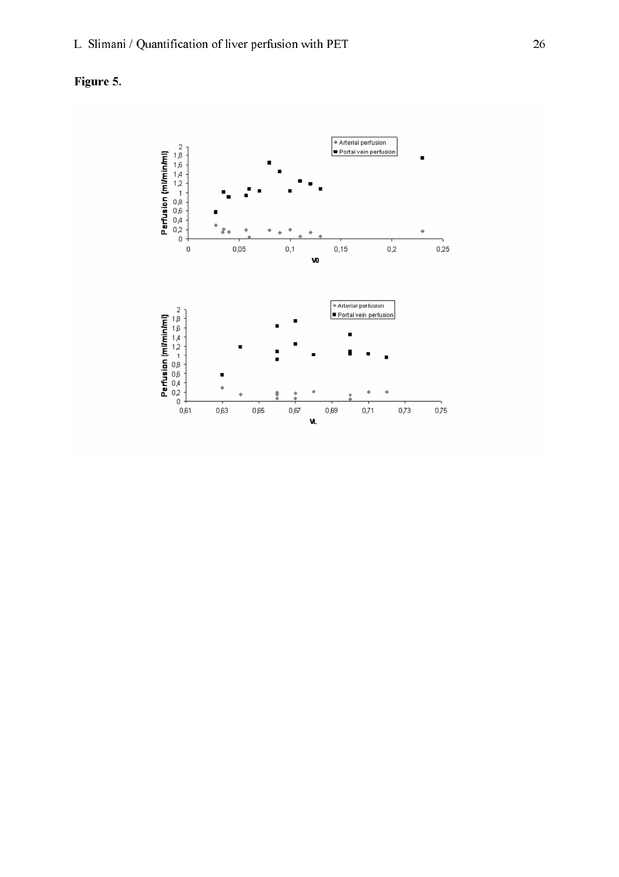

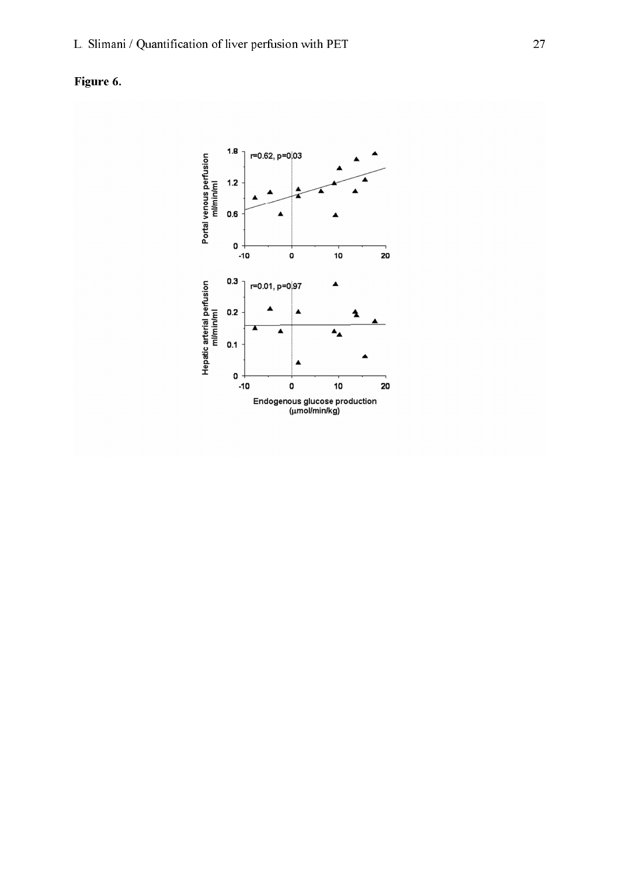Figure 6.